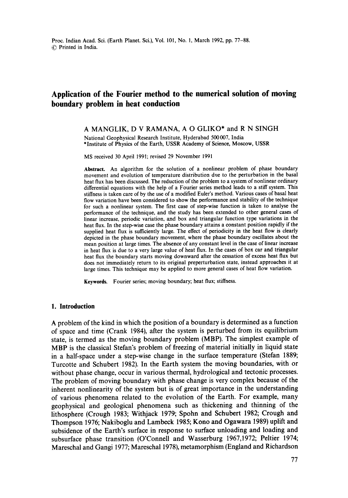# **Application of the Fourier method to the numerical solution of moving boundary problem in heat conduction**

## **A MANGLIK, D V RAMANA, A O GLIKO\* and R N** SINGH

National Geophysical Research Institute, Hyderabad 500007, India \*Institute of Physics of the Earth, USSR Academy of Science, Moscow, USSR

MS received 30 April 1991; revised 29 November 1991

**Abstract.** An algorithm for the solution of a nonlinear problem of phase boundary movement and evolution of temperature distribution due to the perturbation in the basal heat flux has been discussed. The reduction of the problem to a system of nonlinear ordinary differential equations with the help of a Fourier series method leads to a stiff system. This stiffness is taken care of by the use of a modified Euler's method. Various cases of basal heat flow variation have been considered to show the performance and stability of the technique for such a nonlinear system. The first case of step-wise function is taken to analyse the performance of the technique, and the study has been extended to other general cases of linear increase, periodic variation, and box and triangular function type variations in the heat flux. In the step-wise case the phase boundary attains a constant position rapidly if the supplied heat flux is sufficiently large. The effect of periodicity in the heat flow is clearly depicted in the phase boundary movement, where the phase boundary oscillates about **the**  mean position at large times. The absence of any constant level in the case of linear increase in heat flux is due to a very large value of heat flux. In the cases of box car and triangular heat flux the boundary starts moving downward after the cessation of excess heat flux but does not immediately return to its original preperturbation state, instead approaches it at large times. This technique may be applied to more general cases of heat flow variation.

**Keywords.** Fourier series; moving boundary; heat flux; stiffness.

## **1. Introduction**

A problem of the kind in which the position of a boundary is determined as a function of space and time (Crank 1984), after the system is perturbed from its equilibrium state, is termed as the moving boundary problem (MBP). The simplest example of MBP is the classical Stefan's problem of freezing of material initially in liquid state in a half-space under a step-wise change in the surface temperature (Stefan 1889; Turcotte and Schubert 1982). In the Earth system the moving boundaries, with or without phase change, occur in various thermal, hydrological and tectonic processes. The problem of moving boundary with phase change is very complex because of the inherent nonlinearity of the system but is of great importance in the understanding of various phenomena related to the evolution of the Earth. For example, many geophysical and geological phenomena such as thickening and thinning of the lithosphere (Crough 1983; Withjack 1979; Spohn and Schubert 1982; Crough and Thompson 1976; Nakiboglu and Lambeck 1985; Kono and Ogawara 1989) uplift and subsidence of the Earth's surface in response to surface unloading and loading and subsurface phase transition (O'Connell and Wasserburg 1967,1972; Peltier 1974; Mareschal and Gangi 1977; Mareschal 1978), metamorphism (England and Richardson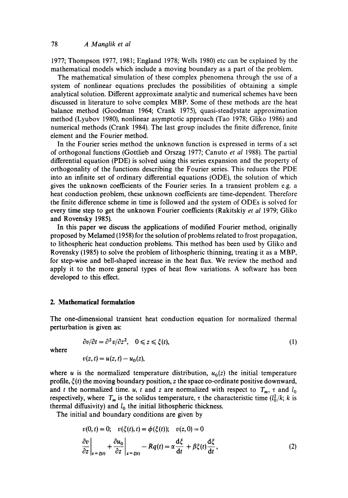1977; Thompson 1977, 1981; England 1978; Wells 1980) etc can be explained by the mathematical models which include a moving boundary as a part of the problem.

The mathematical simulation of these complex phenomena through the use of a system of nonlinear equations precludes the possibilities of obtaining a simple analytical solution. Different approximate analytic and numerical schemes have been discussed in literature to solve complex MBP. Some of these methods are the heat balance method (Goodman 1964; Crank 1975), quasi-steadystate approximation method (Lyubov 1980), nonlinear asymptotic approach (Tao 1978; Gliko 1986) and numerical methods (Crank 1984). The last group includes the finite difference, finite element and the Fourier method.

In the Fourier series method the unknown function is expressed in terms of a set of orthogonal functions (Gottlieb and Orszag 1977; Canuto *et al* 1988). The partial differential equation (PDE) is solved using this series expansion and the property of orthogonality of the functions describing the Fourier series. This reduces the PDE into an infinite set of ordinary differential equations (ODE), the solution of which gives the unknown coefficients of the Fourier series. In a transient problem e.g. a heat conduction problem, these unknown coefficients are time-dependent. Therefore the finite difference scheme in time is followed and the system of ODEs is solved for every time step to get the unknown Fourier coefficients (Rakitskiy *et al* 1979; Gliko and Rovensky 1985).

In this paper we discuss the applications of modified Fourier method, originally proposed by Melamed (1958) for the solution of problems related to frost propagation, to lithospheric heat conduction problems. This method has been used by Gliko and Rovensky (1985) to solve the problem of lithospheric thinning, treating it as a MBP, for step-wise and bell-shaped increase in the heat flux. We review the method and apply it to the more general types of heat flow variations. A software has been developed to this effect.

#### **2. Mathematical formulation**

The one-dimensional transient heat conduction equation for normalized thermal perturbation is given as:

where

$$
\frac{\partial v}{\partial t} = \frac{\partial^2 v}{\partial z^2}, \quad 0 \le z \le \xi(t),
$$
  
\n
$$
v(z, t) = u(z, t) - u_0(z),
$$
\n(1)

where u is the normalized temperature distribution,  $u_0(z)$  the initial temperature profile,  $\xi(t)$  the moving boundary position, z the space co-ordinate positive downward, and t the normalized time. u, t and z are normalized with respect to  $T_m$ ,  $\tau$  and  $l_0$ respectively, where  $T_m$  is the solidus temperature,  $\tau$  the characteristic time  $(l_0^2/k; k$  is thermal diffusivity) and  $l_0$  the initial lithospheric thickness.

The initial and boundary conditions are given by

$$
v(0, t) = 0; \quad v(\xi(t), t) = \phi(\xi(t)); \quad v(z, 0) = 0
$$
  
\n
$$
\frac{\partial v}{\partial z}\Big|_{z=\xi(t)} + \frac{\partial u_0}{\partial z}\Big|_{z=\xi(t)} - Rq(t) = \alpha \frac{d\xi}{dt} + \beta \xi(t) \frac{d\xi}{dt}, \tag{2}
$$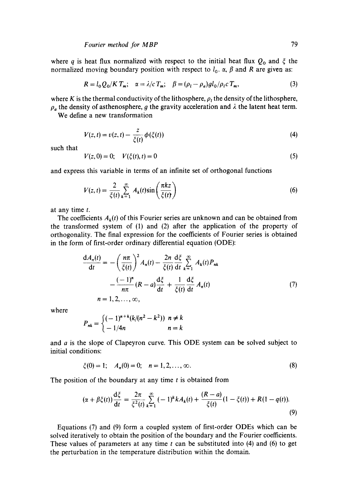where q is heat flux normalized with respect to the initial heat flux  $Q_0$  and  $\zeta$  the normalized moving boundary position with respect to  $l_0$ ,  $\alpha$ ,  $\beta$  and R are given as:

$$
R = l_0 Q_0 / K T_m; \quad \alpha = \lambda / c T_m; \quad \beta = (\rho_l - \rho_a) g l_0 / \rho_l c T_m, \tag{3}
$$

where K is the thermal conductivity of the lithosphere,  $\rho_t$  the density of the lithosphere,  $\rho_a$  the density of asthenosphere, g the gravity acceleration and  $\lambda$  the latent heat term.

We define a new transformation

$$
V(z,t) = v(z,t) - \frac{z}{\zeta(t)} \phi(\zeta(t))
$$
\n(4)

such that

$$
V(z,0) = 0; \quad V(\xi(t),t) = 0 \tag{5}
$$

and express this variable in terms of an infinite set of orthogonal functions

$$
V(z,t) = \frac{2}{\xi(t)} \sum_{k=1}^{\infty} A_k(t) \sin\left(\frac{\pi k z}{\xi(t)}\right)
$$
 (6)

at any time t.

The coefficients  $A_k(t)$  of this Fourier series are unknown and can be obtained from the transformed system of (1) and (2) after the application of the property of orthogonality. The final expression for the coefficients of Fourier series is obtained in the form of first-order ordinary differential equation (ODE):

$$
\frac{dA_n(t)}{dt} = -\left(\frac{n\pi}{\xi(t)}\right)^2 A_n(t) - \frac{2n}{\xi(t)} \frac{d\xi}{dt} \sum_{k=1}^{\infty} A_k(t) P_{nk}
$$

$$
-\frac{(-1)^n}{n\pi} (R - a) \frac{d\xi}{dt} + \frac{1}{\xi(t)} \frac{d\xi}{dt} A_n(t)
$$

$$
n = 1, 2, ..., \infty,
$$

$$
(7)
$$

where

$$
P_{nk} = \begin{cases} (-1)^{n+k} (k/(n^2 - k^2)) & n \neq k \\ -1/4n & n = k \end{cases}
$$

and a is the slope of Clapeyron curve. This ODE system can be solved subject to initial conditions:

$$
\zeta(0) = 1; \quad A_n(0) = 0; \quad n = 1, 2, \dots, \infty. \tag{8}
$$

The position of the boundary at any time  $t$  is obtained from

$$
(\alpha + \beta \xi(t)) \frac{d\xi}{dt} = \frac{2\pi}{\xi^2(t)} \sum_{k=1}^{\infty} (-1)^k k A_k(t) + \frac{(R-a)}{\xi(t)} (1 - \xi(t)) + R(1 - q(t)).
$$
\n(9)

Equations (7) and (9) form a coupled system of first-order ODEs which can be solved iteratively to obtain the position of the boundary and the Fourier coefficients. These values of parameters at any time  $t$  can be substituted into (4) and (6) to get the perturbation in the temperature distribution within the domain.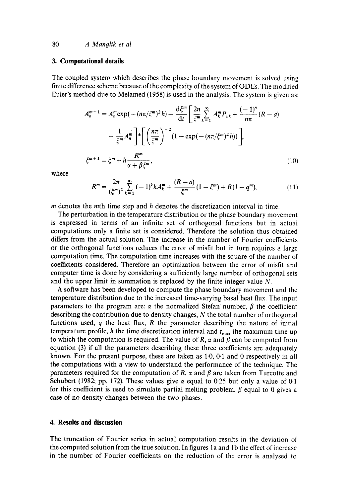## **3. Computational details**

The coupled system which describes the phase boundary movement is solved using finite difference scheme because of the complexity of the system of ODEs. The modified Euler's method due to Melamed (1958) is used in the analysis. The system is given as:

$$
A_n^{m+1} = A_n^m \exp(-(n\pi/\xi^m)^2 h) - \frac{d\xi^m}{dt} \left[ \frac{2n}{\xi^m} \sum_{k=1}^{\infty} A_k^m P_{nk} + \frac{(-1)^n}{n\pi} (R - a) - \frac{1}{\xi^m} A_n^m \right] * \left[ \left( \frac{n\pi}{\xi^m} \right)^{-2} (1 - \exp(-(n\pi/\xi^m)^2 h)) \right],
$$
  

$$
\xi^{m+1} = \xi^m + h \frac{R^m}{\alpha + \beta \xi^m},
$$
 (10)

where

$$
R^{m} = \frac{2\pi}{(\xi^{m})^{2}} \sum_{k=1}^{\infty} (-1)^{k} k A_{k}^{m} + \frac{(R-a)}{\xi^{m}} (1 - \xi^{m}) + R(1 - q^{m}), \qquad (11)
$$

 $m$  denotes the  $m$ th time step and  $h$  denotes the discretization interval in time.

The perturbation in the temperature distribution or the phase boundary movement is expressed in terms of an infinite set of orthogonal functions but in actual computations only a finite set is considered. Therefore the solution thus obtained differs from the actual solution. The increase in the number of Fourier coefficients or the orthogonal functions reduces the error of misfit but in turn requires a large computation time. The computation time increases with the square of the number of coefficients considered. Therefore an optimization between the error of misfit and computer time is done by considering a sufficiently large number of orthogonal sets and the upper limit in summation is replaced by the finite integer value N.

A software has been developed to compute the phase boundary movement and the temperature distribution due to the increased time-varying basal heat flux. The input parameters to the program are:  $\alpha$  the normalized Stefan' number,  $\beta$  the coefficient describing the contribution due to density changes, N the total number of orthogonal functions used,  $q$  the heat flux,  $R$  the parameter describing the nature of initial temperature profile, h the time discretization interval and  $t_{\text{max}}$  the maximum time up to which the computation is required. The value of R,  $\alpha$  and  $\beta$  can be computed from equation (3) if all the parameters describing these three coefficients are adequately known. For the present purpose, these are taken as  $1.0, 0.1$  and 0 respectively in all the computations with a view to understand the performance of the technique. The parameters required for the computation of R,  $\alpha$  and  $\beta$  are taken from Turcotte and Schubert (1982; pp. 172). These values give  $\alpha$  equal to 0.25 but only a value of 0.1 for this coefficient is used to simulate partial melting problem.  $\beta$  equal to 0 gives a case of no density changes between the two phases.

#### **4. Results and discussion**

The truncation of Fourier series in actual computation results in the deviation of the computed solution from the true solution. In figures 1 a and 1 b the effect of increase in the number of Fourier coefficients on the reduction of the error is analysed to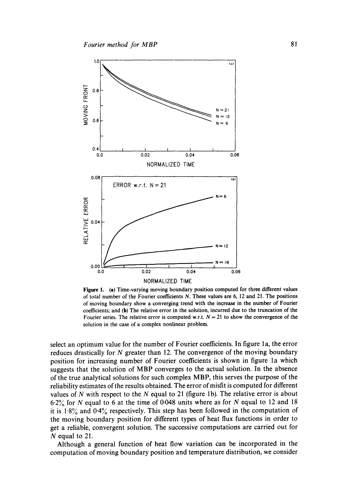

**Figure 1. (a) Time-varying moving boundary position computed for three different values of total number of the Fourier coefficients N. These values.are** 6, 12 and 21. **The positions of moving boundary show a converging trend with the increase in the number of Fourier coefficients; and (b) The relative error in the solution, incurred due to the truncation of the**  Fourier series. The relative error is computed w.r.t.  $N = 21$  to show the convergence of the **solution in the case of a complex nonlinear problem.** 

**select an optimum value for the number of Fourier coefficients. In figure la, the error reduces drastically for N greater than 12. The convergence of the moving boundary position for increasing number of Fourier coefficients is shown in figure la which suggests that the solution of MBP converges to the actual solution. In the absence of the true analytical solutions for such complex MBP, this serves the purpose of the reliability estimates of the results obtained. The error of misfit is computed for different values of N with respect to the N equal to 21 (figure lb). The relative error is about 6-2% for N equal to 6 at the time of 0.048 units where as for N equal to 12 and 18**  it is  $1.8\%$  and  $0.4\%$  respectively. This step has been followed in the computation of **the moving boundary position for different types of heat flux functions in order to get a reliable, convergent solution. The successive computations are carried out for N equal to 21.** 

**Although a general function of heat flow variation can be incorporated in the computation of moving boundary position and temperature distribution, we consider**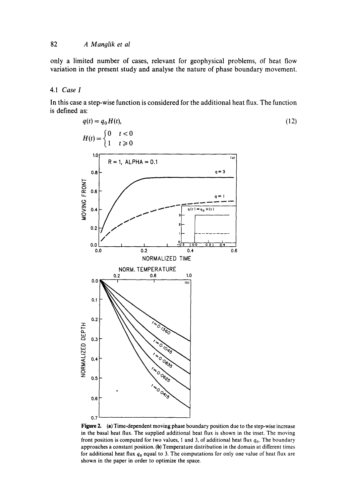only a limited number of cases, relevant for geophysical problems, of heat flow variation in the present study and analyse the nature of phase boundary movement.

## 4.1 *Case I*

In this case a step-wise function is considered for the additional heat flux. The function is defined as:



**Figure 2.** (a) Time-dependent moving phase boundary position due to the step-wise increase in the basal heat flux. The supplied additional heat flux is shown in the inset. The moving front position is computed for two values, 1 and 3, of additional heat flux  $q_0$ . The boundary approaches a constant position. (b) Temperature distribution in the domain at different times for additional heat flux  $q_0$  equal to 3. The computations for only one value of heat flux are shown in the paper in order to optimize the space.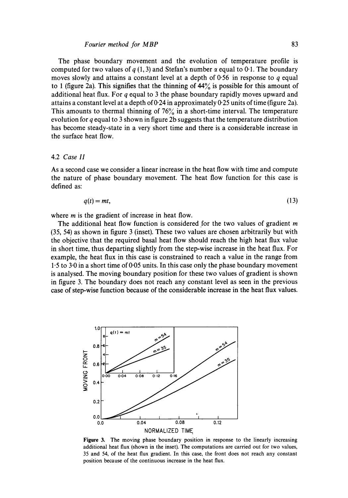#### *Fourier method for MBP* 83

The phase boundary movement and the evolution of temperature profile is computed for two values of q (1, 3) and Stefan's number  $\alpha$  equal to 0.1. The boundary moves slowly and attains a constant level at a depth of  $0.56$  in response to q equal to 1 (figure 2a). This signifies that the thinning of  $44\%$  is possible for this amount of additional heat flux. For  $q$  equal to 3 the phase boundary rapidly moves upward and attains a constant level at a depth of  $0.24$  in approximately  $0.25$  units of time (figure 2a). This amounts to thermal thinning of  $76\%$  in a short-time interval. The temperature evolution for  $q$  equal to 3 shown in figure 2b suggests that the temperature distribution has become steady-state in a very short time and there is a considerable increase in the surface heat flow.

## 4.2 *Case I1*

As a second case we consider a linear increase in the heat flow with time and compute the nature of phase boundary movement. The heat flow function for this case is defined as:

$$
q(t) = mt,\tag{13}
$$

where *m* is the gradient of increase in heat flow.

The additional heat flow function is considered for the two values of gradient  $m$ (35, 54) as shown in figure 3 (inset). These two values are chosen arbitrarily but with the objective that the required basal heat flow should reach the high heat flux value in short time, thus departing slightly from the step-wise increase in the heat flux. For example, the heat flux in this case is constrained to reach a value in the range from 1.5 to 3"0 in a short time of 0.05 units. In this case only the phase boundary movement is analysed. The moving boundary position for these two values of gradient is shown in figure 3. The boundary does not reach any constant level as seen in the previous case of step-wise function because of the considerable increase in the heat flux values.



Figure 3. The moving phase boundary position in response to the linearly increasing additional heat flux (shown in the inset). The computations are carried out for two values, 35 and 54, of the heat flux gradient. In this case, the front does not reach any constant position because of the continuous increase in the heat flux.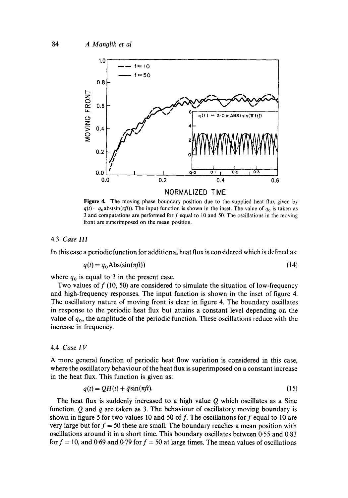

Figure 4. The moving phase boundary position due to the supplied heat flux given by  $q(t) = q_0$ abs(sin( $\pi f(t)$ ). The input function is shown in the inset. The value of  $q_0$  is taken as 3 and computations are performed for  $f$  equal to 10 and 50. The oscillations in the moving front are superimposed on the mean position.

#### 4.3 *Case III*

In this case a periodic function for additional heat flux is considered which is defined as:

$$
q(t) = q_0 \operatorname{Abs}(\sin(\pi ft))\tag{14}
$$

where  $q_0$  is equal to 3 in the present case.

Two values of  $f(10, 50)$  are considered to simulate the situation of low-frequency and high-frequency responses. The input function is shown in the inset of figure 4. The oscillatory nature of moving front is clear in figure 4. The boundary oscillates in response to the periodic heat flux but attains a constant level depending on the value of  $q_0$ , the amplitude of the periodic function. These oscillations reduce with the increase in frequency.

#### 4.4 *Case I V*

A more general function of periodic heat flow variation is considered in this case, where the oscillatory behaviour of the heat flux is superimposed on a constant increase in the heat flux. This function is given as:

$$
q(t) = QH(t) + \bar{q}\sin(\pi ft). \tag{15}
$$

The heat flux is suddenly increased to a high value  $Q$  which oscillates as a Sine function. Q and  $\bar{q}$  are taken as 3. The behaviour of oscillatory moving boundary is shown in figure 5 for two values 10 and 50 of f. The oscillations for f equal to 10 are very large but for  $f = 50$  these are small. The boundary reaches a mean position with oscillations around it in a short time. This boundary oscillates between 0.55 and 0.83 for  $f = 10$ , and 0.69 and 0.79 for  $f = 50$  at large times. The mean values of oscillations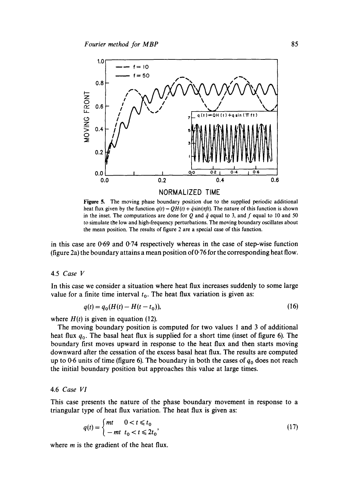

**Figure** 5. The moving phase boundary position due to the supplied periodic additional heat flux given by the function  $q(t) = QH(t) + \bar{q}\sin(\pi ft)$ . The nature of this function is shown in the inset. The computations are done for Q and  $\bar{q}$  equal to 3, and f equal to 10 and 50 to simulate the low and high-frequency perturbations. The moving boundary oscillates about the mean position. The results of figure 2 are a special case of this function.

in this case are  $0.69$  and  $0.74$  respectively whereas in the case of step-wise function (figure 2a) the boundary attains a mean position of  $0.76$  for the corresponding heat flow.

#### 4.5 *Case V*

In this case we consider a situation where heat flux increases suddenly to some large value for a finite time interval  $t<sub>0</sub>$ . The heat flux variation is given as:

$$
q(t) = q_0(H(t) - H(t - t_0)),
$$
\n(16)

where  $H(t)$  is given in equation (12).

The moving boundary position is computed for two values 1 and 3 of additional heat flux  $q_0$ . The basal heat flux is supplied for a short time (inset of figure 6). The boundary first moves upward in response to the heat flux and then starts moving downward after the cessation of the excess basal heat flux. The results are computed up to 0.6 units of time (figure 6). The boundary in both the cases of  $q_0$  does not reach the initial boundary position but approaches this value at large times.

#### 4.6 *Case VI*

This case presents the nature of the phase boundary movement in response to a triangular type of heat flux variation. The heat flux is given as:

$$
q(t) = \begin{cases} mt & 0 < t \leq t_0 \\ -mt & t_0 < t \leq 2t_0 \end{cases} \tag{17}
$$

where *m* is the gradient of the heat flux.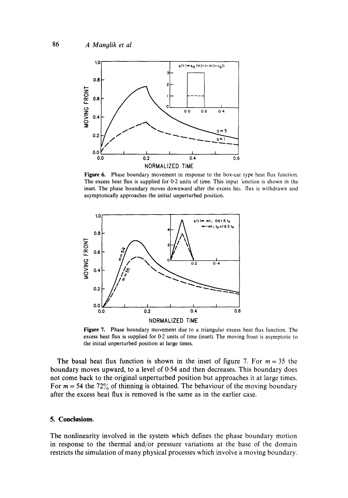

**Figure** 6. Phase boundary movement in response to the box-car type heat flux function. The excess heat flux is supplied for 0.2 units of time. This input 'unction is shown in the inset. The phase boundary moves downward after the excess hea flux is withdrawn and asymptotically approaches the initial unperturbed position.



**Figure** 7. Phase boundary movement due to a triangular excess heat flux function. The excess heat flux is supplied for 0.2 units of time (inset). The moving front is asymptotic to the initial unperturbed position at large times.

The basal heat flux function is shown in the inset of figure 7. For  $m = 35$  the boundary moves upward, to a level of  $0.54$  and then decreases. This boundary does not come back to the original unperturbed position but approaches it at large times. For  $m = 54$  the 72% of thinning is obtained. The behaviour of the moving boundary after the excess heat flux is removed is the same as in the earlier case.

#### **5. Conclusions.**

The nonlinearity involved in the system which defines the phase boundary motion in response to the thermal and/or pressure variations at the base of the domain restricts the simulation of many physical processes which involve a moving boundary.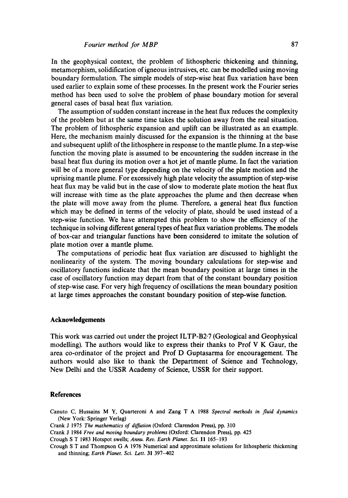#### *Fourier method for MBP* 87

In the geophysical context, the problem of lithospheric thickening and thinning, metamorphism, solidification of igneous intrusives, etc. can be modelled using moving boundary formulation. The simple models of step-wise heat flux variation have been used earlier to explain some of these processes. In the present work the Fourier series method has been used to solve the problem of phase boundary motion for several general cases of basal heat flux variation.

The assumption of sudden constant increase in the heat flux reduces the complexity of the problem but at the same time takes the solution away from the real situation. The problem of lithospheric expansion and uplift can be illustrated as an example. Here, the mechanism mainly discussed for the expansion is the thinning at the base and subsequent uplift of the lithosphere in response to the mantle plume. In a step-wise function the moving plate is assumed to be encountering the sudden increase in the basal heat flux during its motion over a hot jet of mantle plume. In fact the variation will be of a more general type depending on the velocity of the plate motion and the uprising mantle plume. For excessively high plate velocity the assumption of step-wise heat flux may be valid but in the case of slow to moderate plate motion the heat flux will increase with time as the plate approaches the plume and then decrease when the plate will move away from the plume. Therefore, a general heat flux function which may be defined in terms of the velocity of plate, should be used instead of a step-wise function. We have attempted this problem to show the efficiency of the technique in solving different general types of heat flux variation problems. The models of box-car and triangular functions have been considered to imitate the solution of plate motion over a mantle plume.

The computations of periodic heat flux variation are discussed to highlight the nonlinearity of the system. The moving boundary calculations for step-wise and oscillatory functions indicate that the mean boundary position at large times in the case of oscillatory function may depart from that of the constant boundary position of step-wise case. For very high frequency of oscillations the mean boundary position at large times approaches the constant boundary position of step-wise function.

#### **Acknowledgements**

This work was carried out under the project ILTP-B2.7 (Geological and Geophysical modelling). The authors would like to express their thanks to Prof V K Gaur, the area co-ordinator of the project and Prof D Guptasarma for encouragement. The authors would also like to thank the Department of Science and Technology, New Delhi and the USSR Academy of Science, USSR for their support.

#### **References**

- Canuto C, Hussains M Y, Quarteroni A and Zang T A 1988 *Spectral methods in fluid dynamics*  (New York: Springer Verlag)
- Crank J 1975 *The mathematics of diffusion* (Oxford: Clarendon Press), pp. 310
- Crank J 1984 *Free and moving boundary problems* (Oxford: Clarendon Press), pp. 425
- Crough S T 1983 Hotspot swells; *Annu. Rev. Earth Planet. Sci.* 11 165-193
- Crough S T and Thompson G A 1976 Numerical and approximate solutions for lithospheric thickening and thinning; *Earth Planet. Sci. Lett.* 31 397-402